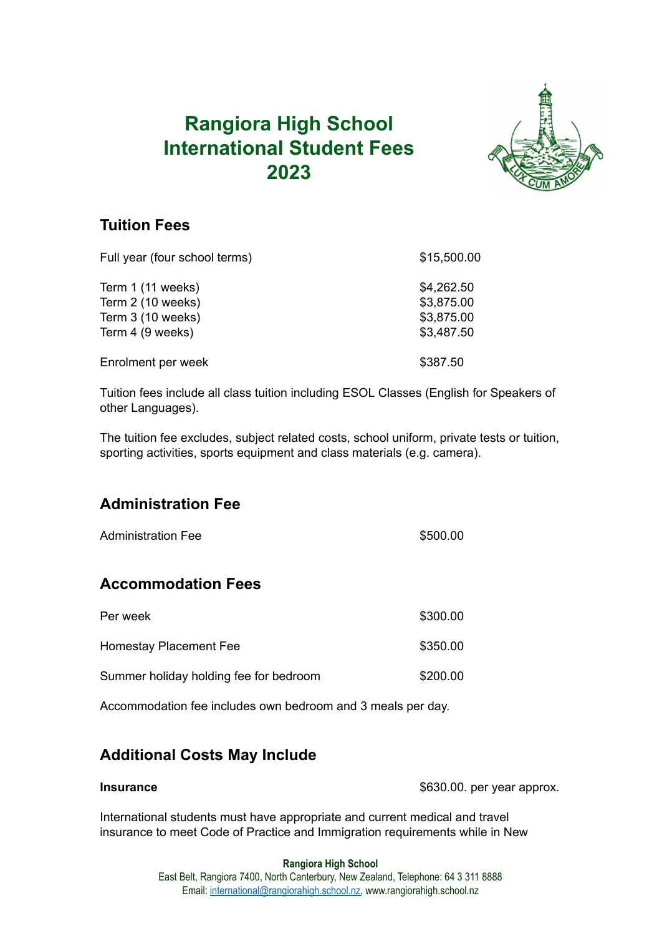# **Rangiora High School International Student Fees 2023**



## **Tuition Fees**

| Full year (four school terms) | \$15,500.00 |
|-------------------------------|-------------|
| Term 1 (11 weeks)             | \$4,262.50  |
| Term 2 (10 weeks)             | \$3,875.00  |
| Term 3 (10 weeks)             | \$3,875.00  |
| Term 4 (9 weeks)              | \$3,487.50  |
| Enrolment per week            | \$387.50    |

Tuition fees include all class tuition including ESOL Classes (English for Speakers of other Languages).

The tuition fee excludes, subject related costs, school uniform, private tests or tuition, sporting activities, sports equipment and class materials (e.g. camera).

## **Administration Fee**

| <b>Administration Fee</b>              | \$500.00 |
|----------------------------------------|----------|
| <b>Accommodation Fees</b>              |          |
| Per week                               | \$300.00 |
| Homestay Placement Fee                 | \$350.00 |
| Summer holiday holding fee for bedroom | \$200.00 |

Accommodation fee includes own bedroom and 3 meals per day.

## **Additional Costs May Include**

**Insurance** \$630.00. per year approx.

International students must have appropriate and current medical and travel insurance to meet Code of Practice and Immigration requirements while in New

## **Rangiora High School**

East Belt, Rangiora 7400, North Canterbury, New Zealand, Telephone: 64 3 311 8888 Email: [international@rangiorahigh.school.nz,](mailto:international@rangiorahigh.school.nz) www.rangiorahigh.school.nz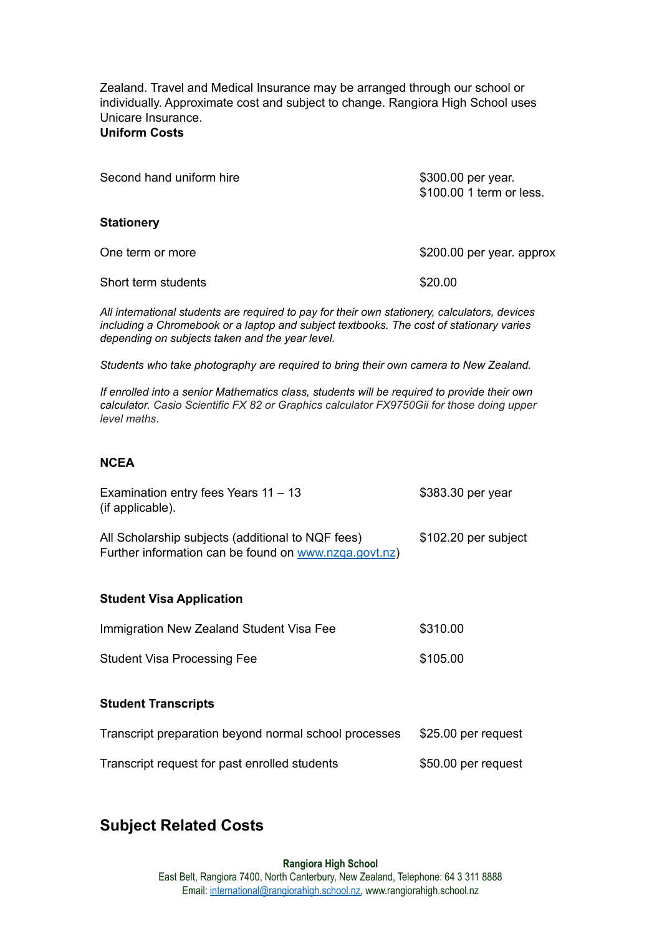Zealand. Travel and Medical Insurance may be arranged through our school or individually. Approximate cost and subject to change. Rangiora High School uses Unicare Insurance. **Uniform Costs**

| Second hand uniform hire | \$300.00 per year.<br>\$100.00 1 term or less. |
|--------------------------|------------------------------------------------|
| <b>Stationery</b>        |                                                |
| One term or more         | \$200.00 per year. approx                      |
| Short term students      | \$20.00                                        |
|                          |                                                |

*All international students are required to pay for their own stationery, calculators, devices including a Chromebook or a laptop and subject textbooks. The cost of stationary varies depending on subjects taken and the year level.*

*Students who take photography are required to bring their own camera to New Zealand.*

*If enrolled into a senior Mathematics class, students will be required to provide their own calculator. Casio Scientific FX 82 or Graphics calculator FX9750Gii for those doing upper level maths*.

## **NCEA**

| Examination entry fees Years $11 - 13$<br>(if applicable).                                                 | \$383.30 per year    |
|------------------------------------------------------------------------------------------------------------|----------------------|
| All Scholarship subjects (additional to NQF fees)<br>Further information can be found on www.nzga.govt.nz) | \$102.20 per subject |
| <b>Student Visa Application</b>                                                                            |                      |
| Immigration New Zealand Student Visa Fee                                                                   | \$310.00             |
| <b>Student Visa Processing Fee</b>                                                                         | \$105.00             |
| <b>Student Transcripts</b>                                                                                 |                      |
|                                                                                                            |                      |
| Transcript preparation beyond normal school processes                                                      | \$25.00 per request  |
| Transcript request for past enrolled students                                                              | \$50.00 per request  |

## **Subject Related Costs**

#### **Rangiora High School** East Belt, Rangiora 7400, North Canterbury, New Zealand, Telephone: 64 3 311 8888 Email: [international@rangiorahigh.school.nz,](mailto:international@rangiorahigh.school.nz) www.rangiorahigh.school.nz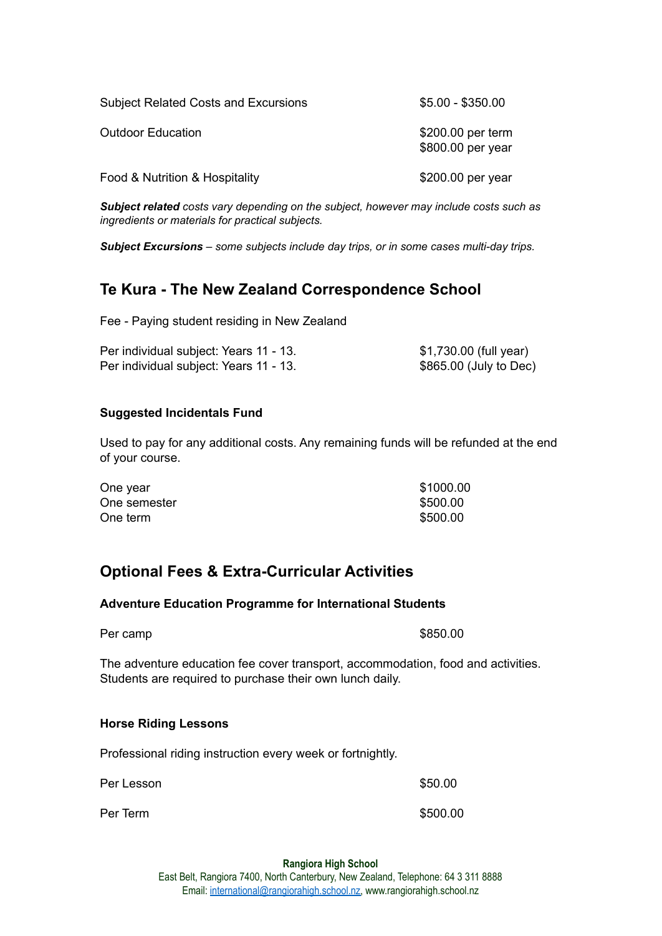| <b>Subject Related Costs and Excursions</b> | $$5.00 - $350.00$                      |
|---------------------------------------------|----------------------------------------|
| <b>Outdoor Education</b>                    | \$200.00 per term<br>\$800.00 per year |
| Food & Nutrition & Hospitality              | \$200.00 per year                      |

*Subject related costs vary depending on the subject, however may include costs such as ingredients or materials for practical subjects.*

*Subject Excursions – some subjects include day trips, or in some cases multi-day trips.*

## **Te Kura - The New Zealand Correspondence School**

Fee - Paying student residing in New Zealand

| Per individual subject: Years 11 - 13. | \$1,730.00 (full year) |
|----------------------------------------|------------------------|
| Per individual subject: Years 11 - 13. | \$865.00 (July to Dec) |

## **Suggested Incidentals Fund**

Used to pay for any additional costs. Any remaining funds will be refunded at the end of your course.

| One year     | \$1000.00 |
|--------------|-----------|
| One semester | \$500.00  |
| One term     | \$500.00  |

## **Optional Fees & Extra-Curricular Activities**

## **Adventure Education Programme for International Students**

| Per camp |  |  |  |
|----------|--|--|--|
|----------|--|--|--|

 $$850.00$ 

The adventure education fee cover transport, accommodation, food and activities. Students are required to purchase their own lunch daily.

#### **Horse Riding Lessons**

Professional riding instruction every week or fortnightly.

Per Lesson  $\$50.00$ 

Per Term \$500.00

#### **Rangiora High School**

East Belt, Rangiora 7400, North Canterbury, New Zealand, Telephone: 64 3 311 8888 Email: [international@rangiorahigh.school.nz,](mailto:international@rangiorahigh.school.nz) www.rangiorahigh.school.nz